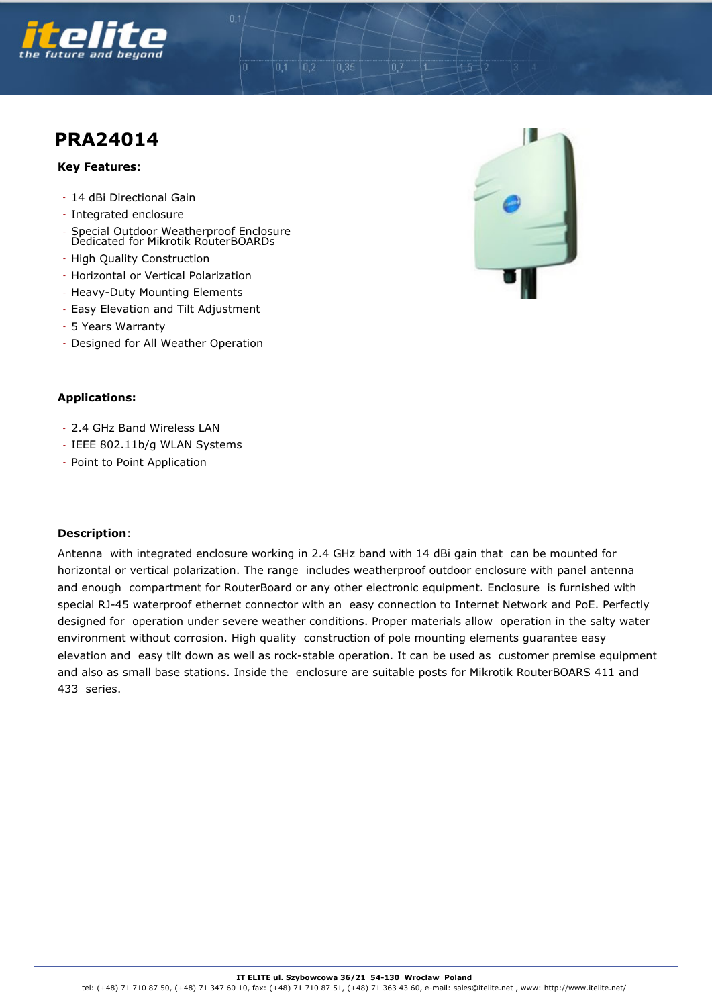

# **PRA24014**

### **Key Features:**

- 14 dBi Directional Gain
- Integrated enclosure
- Special Outdoor Weatherproof Enclosure Dedicated for Mikrotik RouterBOARDs
- High Quality Construction
- Horizontal or Vertical Polarization
- Heavy-Duty Mounting Elements
- Easy Elevation and Tilt Adjustment
- 5 Years Warranty
- Designed for All Weather Operation

## **Applications:**

- 2.4 GHz Band Wireless LAN
- IEEE 802.11b/g WLAN Systems
- Point to Point Application

#### **Description**:

Antenna with integrated enclosure working in 2.4 GHz band with 14 dBi gain that can be mounted for horizontal or vertical polarization. The range includes weatherproof outdoor enclosure with panel antenna and enough compartment for RouterBoard or any other electronic equipment. Enclosure is furnished with special RJ-45 waterproof ethernet connector with an easy connection to Internet Network and PoE. Perfectly designed for operation under severe weather conditions. Proper materials allow operation in the salty water environment without corrosion. High quality construction of pole mounting elements guarantee easy elevation and easy tilt down as well as rock-stable operation. It can be used as customer premise equipment and also as small base stations. Inside the enclosure are suitable posts for Mikrotik RouterBOARS 411 and 433 series.

 $0,2$ 

 $0,1$ 

 $0.35$ 

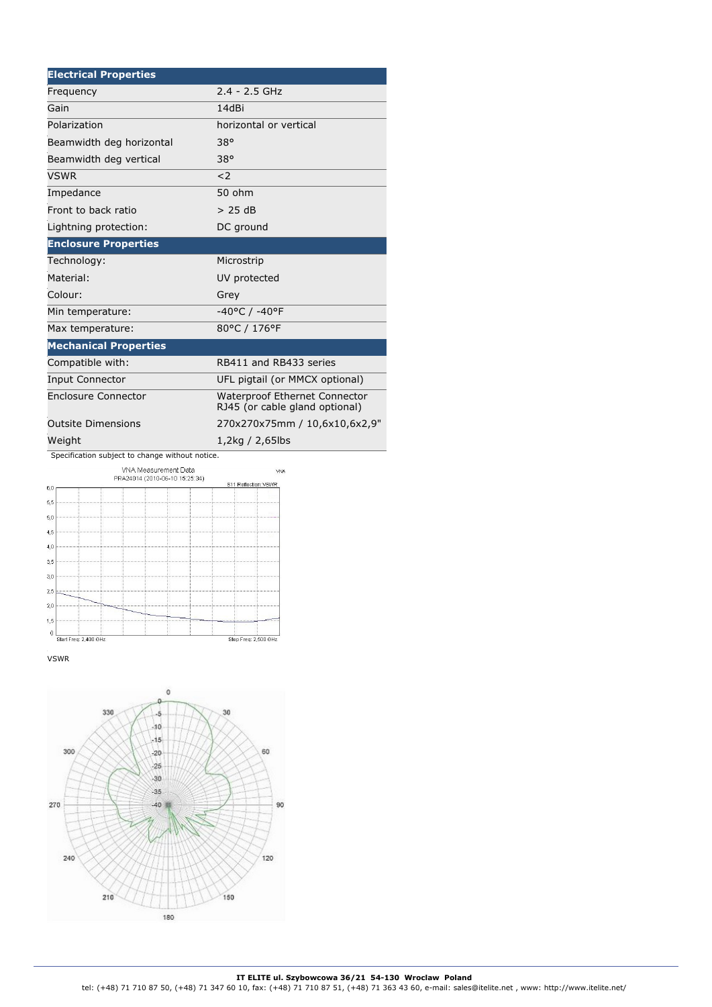| <b>Electrical Properties</b>                           |                                                                        |
|--------------------------------------------------------|------------------------------------------------------------------------|
| Frequency                                              | $2.4 - 2.5$ GHz                                                        |
| Gain                                                   | 14dBi                                                                  |
| Polarization                                           | horizontal or vertical                                                 |
| Beamwidth deg horizontal                               | 38°                                                                    |
| Beamwidth deg vertical                                 | 38°                                                                    |
| VSWR                                                   | $\leq$ 2                                                               |
| Impedance                                              | 50 ohm                                                                 |
| Front to back ratio                                    | > 25 dB                                                                |
| Lightning protection:                                  | DC ground                                                              |
| <b>Enclosure Properties</b>                            |                                                                        |
| Technology:                                            | Microstrip                                                             |
| Material:                                              | UV protected                                                           |
| Colour:                                                | Grey                                                                   |
| Min temperature:                                       | -40°C / -40°F                                                          |
| Max temperature:                                       | 80°C / 176°F                                                           |
| <b>Mechanical Properties</b>                           |                                                                        |
| Compatible with:                                       | RB411 and RB433 series                                                 |
| <b>Input Connector</b>                                 | UFL pigtail (or MMCX optional)                                         |
| <b>Enclosure Connector</b>                             | <b>Waterproof Ethernet Connector</b><br>RJ45 (or cable gland optional) |
| <b>Outsite Dimensions</b>                              | 270x270x75mm / 10,6x10,6x2,9"                                          |
| Weight                                                 | 1,2kg / 2,65lbs                                                        |
| Specification subject to change without notice.        |                                                                        |
| VNA Measurement Data<br>PRA24014 (2010-06-10 15:25:34) | <b>VNA</b><br>S11 Reflection::VSWR                                     |
| 6,0                                                    |                                                                        |
| 5,5<br>5,0                                             |                                                                        |
| 4,5                                                    |                                                                        |
| 4,0                                                    |                                                                        |
| 3,5                                                    |                                                                        |
| 3,0                                                    |                                                                        |

Stop Freq: 2,500 GHz

 $\begin{array}{c|c} \multicolumn{3}{|c|}{0} & \multicolumn{3}{|c|}{1} \\ \hline \multicolumn{3}{|c|}{\text{StartFreq: 2,400 GHz}} \end{array}$ VSWR

 $^{2,5}$  $^{2,0}$  $1,5$